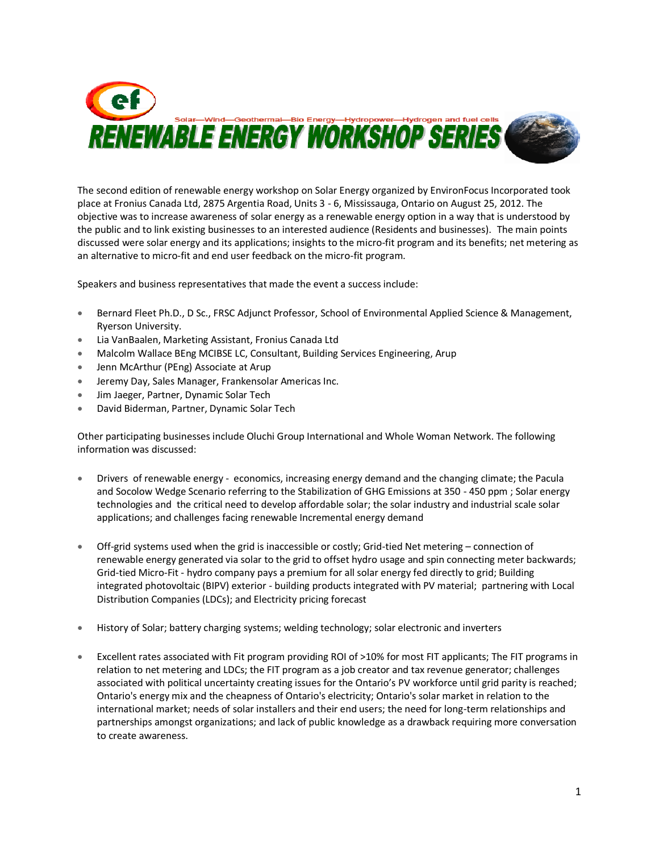

The second edition of renewable energy workshop on Solar Energy organized by EnvironFocus Incorporated took place at Fronius Canada Ltd, 2875 Argentia Road, Units 3 - 6, Mississauga, Ontario on August 25, 2012. The objective was to increase awareness of solar energy as a renewable energy option in a way that is understood by the public and to link existing businesses to an interested audience (Residents and businesses). The main points discussed were solar energy and its applications; insights to the micro-fit program and its benefits; net metering as an alternative to micro-fit and end user feedback on the micro-fit program.

Speakers and business representatives that made the event a success include:

- Bernard Fleet Ph.D., D Sc., FRSC Adjunct Professor, School of Environmental Applied Science & Management, Ryerson University.
- Lia VanBaalen, Marketing Assistant, Fronius Canada Ltd
- Malcolm Wallace BEng MCIBSE LC, Consultant, Building Services Engineering, Arup
- Jenn McArthur (PEng) Associate at Arup
- **Jeremy Day, Sales Manager, Frankensolar Americas Inc.**
- Jim Jaeger, Partner, Dynamic Solar Tech
- David Biderman, Partner, Dynamic Solar Tech

Other participating businesses include Oluchi Group International and Whole Woman Network. The following information was discussed:

- Drivers of renewable energy economics, increasing energy demand and the changing climate; the Pacula and Socolow Wedge Scenario referring to the Stabilization of GHG Emissions at 350 - 450 ppm; Solar energy technologies and the critical need to develop affordable solar; the solar industry and industrial scale solar applications; and challenges facing renewable Incremental energy demand
- Off-grid systems used when the grid is inaccessible or costly; Grid-tied Net metering connection of renewable energy generated via solar to the grid to offset hydro usage and spin connecting meter backwards; Grid-tied Micro-Fit - hydro company pays a premium for all solar energy fed directly to grid; Building integrated photovoltaic (BIPV) exterior - building products integrated with PV material; partnering with Local Distribution Companies (LDCs); and Electricity pricing forecast
- History of Solar; battery charging systems; welding technology; solar electronic and inverters
- Excellent rates associated with Fit program providing ROI of >10% for most FIT applicants; The FIT programs in relation to net metering and LDCs; the FIT program as a job creator and tax revenue generator; challenges associated with political uncertainty creating issues for the Ontario's PV workforce until grid parity is reached; Ontario's energy mix and the cheapness of Ontario's electricity; Ontario's solar market in relation to the international market; needs of solar installers and their end users; the need for long-term relationships and partnerships amongst organizations; and lack of public knowledge as a drawback requiring more conversation to create awareness.